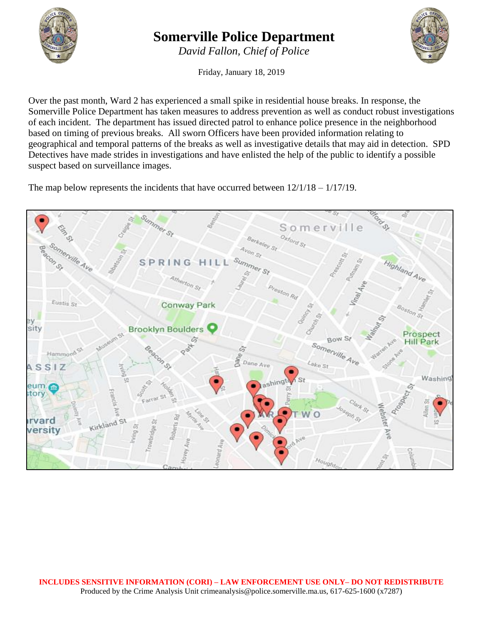

## **Somerville Police Department**

*David Fallon, Chief of Police*

Friday, January 18, 2019

Over the past month, Ward 2 has experienced a small spike in residential house breaks. In response, the Somerville Police Department has taken measures to address prevention as well as conduct robust investigations of each incident. The department has issued directed patrol to enhance police presence in the neighborhood based on timing of previous breaks. All sworn Officers have been provided information relating to geographical and temporal patterns of the breaks as well as investigative details that may aid in detection. SPD Detectives have made strides in investigations and have enlisted the help of the public to identify a possible suspect based on surveillance images.

The map below represents the incidents that have occurred between 12/1/18 – 1/17/19.